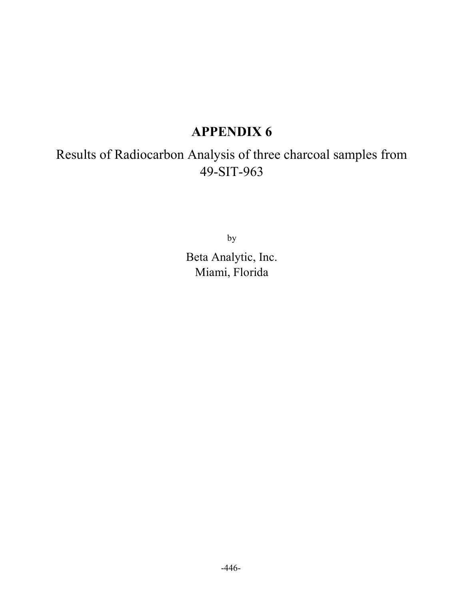## APPENDIX 6

Results of Radiocarbon Analysis of three charcoal samples from 49-SIT-963

by

Beta Analytic, Inc. Miami, Florida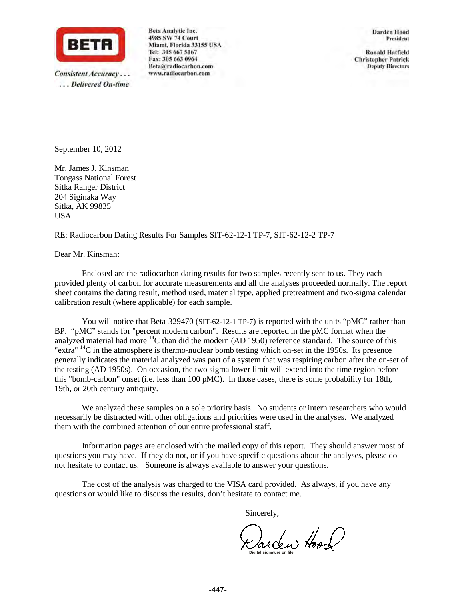

Consistent Accuracy... ...Delivered On-time Beta Analytic Inc. 4985 SW 74 Court Miami, Florida 33155 USA Tel: 305 667 5167 Fax: 305 663 0964 Beta@radiocarbon.com www.radiocarbon.com

**Darden Hood** President

**Ronald Hatfield Christopher Patrick Deputy Directors** 

September 10, 2012

Mr. James J. Kinsman Tongass National Forest Sitka Ranger District 204 Siginaka Way Sitka, AK 99835 USA

RE: Radiocarbon Dating Results For Samples SIT-62-12-1 TP-7, SIT-62-12-2 TP-7

Dear Mr. Kinsman:

Enclosed are the radiocarbon dating results for two samples recently sent to us. They each provided plenty of carbon for accurate measurements and all the analyses proceeded normally. The report sheet contains the dating result, method used, material type, applied pretreatment and two-sigma calendar calibration result (where applicable) for each sample.

You will notice that Beta-329470 (SIT-62-12-1 TP-7) is reported with the units "pMC" rather than BP. "pMC" stands for "percent modern carbon". Results are reported in the pMC format when the analyzed material had more <sup>14</sup>C than did the modern (AD 1950) reference standard. The source of this "extra" <sup>14</sup>C in the atmosphere is thermo-nuclear bomb testing which on-set in the 1950s. Its presence generally indicates the material analyzed was part of a system that was respiring carbon after the on-set of the testing (AD 1950s). On occasion, the two sigma lower limit will extend into the time region before this "bomb-carbon" onset (i.e. less than 100 pMC). In those cases, there is some probability for 18th, 19th, or 20th century antiquity.

We analyzed these samples on a sole priority basis. No students or intern researchers who would necessarily be distracted with other obligations and priorities were used in the analyses. We analyzed them with the combined attention of our entire professional staff.

Information pages are enclosed with the mailed copy of this report. They should answer most of questions you may have. If they do not, or if you have specific questions about the analyses, please do not hesitate to contact us. Someone is always available to answer your questions.

The cost of the analysis was charged to the VISA card provided. As always, if you have any questions or would like to discuss the results, don't hesitate to contact me.

Sincerely,

Karden Hood **Digital signature on file**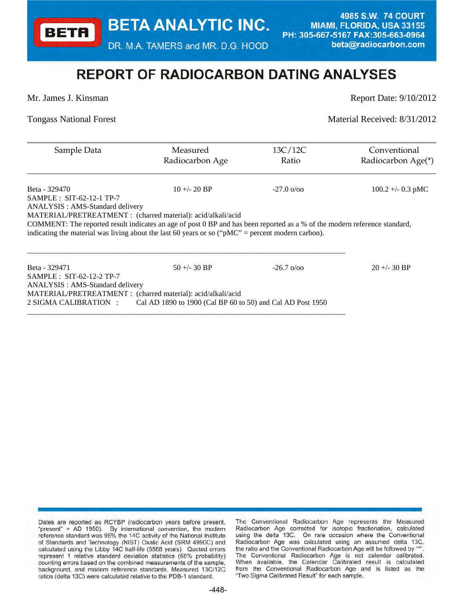**BETA ANALYTIC INC.** 

DR. M.A. TAMERS and MR. D.G. HOOD

4985 S.W. 74 COURT **MIAMI, FLORIDA, USA 33155** PH: 305-667-5167 FAX:305-663-0964 beta@radiocarbon.com

## **REPORT OF RADIOCARBON DATING ANALYSES**

**BETA** 

Mr. James J. Kinsman Report Date: 9/10/2012

Tongass National Forest Material Received: 8/31/2012

| Sample Data                                                                                                               | Measured<br>Radiocarbon Age                                | 13C/12C<br>Ratio              | Conventional<br>Radiocarbon Age(*) |
|---------------------------------------------------------------------------------------------------------------------------|------------------------------------------------------------|-------------------------------|------------------------------------|
| Beta - 329470                                                                                                             | $10 + (-20)$ BP                                            | $-27.0 \frac{\omega}{\omega}$ | $100.2 + -0.3$ pMC                 |
| $SAMPLE: SIT-62-12-1 TP-7$                                                                                                |                                                            |                               |                                    |
| ANALYSIS : AMS-Standard delivery                                                                                          |                                                            |                               |                                    |
| MATERIAL/PRETREATMENT : (charred material): acid/alkali/acid                                                              |                                                            |                               |                                    |
| COMMENT: The reported result indicates an age of post 0 BP and has been reported as a % of the modern reference standard, |                                                            |                               |                                    |
| indicating the material was living about the last 60 years or so ("pMC" = percent modern carbon).                         |                                                            |                               |                                    |
|                                                                                                                           |                                                            |                               |                                    |
| Beta - 329471                                                                                                             | $50 + (-30)$ BP                                            | $-26.7 \frac{\omega}{\omega}$ | $20 + -30$ BP                      |
| $SAMPLE: SIT-62-12-2 TP-7$                                                                                                |                                                            |                               |                                    |
| ANALYSIS : AMS-Standard delivery                                                                                          |                                                            |                               |                                    |
| MATERIAL/PRETREATMENT : (charred material): acid/alkali/acid                                                              |                                                            |                               |                                    |
| 2 SIGMA CALIBRATION :                                                                                                     | Cal AD 1890 to 1900 (Cal BP 60 to 50) and Cal AD Post 1950 |                               |                                    |

Dates are reported as RCYBP (radiocarbon years before present, "present" = AD 1950). By international convention, the modern reference standard was 95% the 14C activity of the National Institute of Standards and Technology (NIST) Oxalic Acid (SRM 4990C) and calculated using the Libby 14C half-life (5568 years). Quoted errors represent 1 relative standard deviation statistics (68% probability) counting errors based on the combined measurements of the sample, background, and modern reference standards. Measured 13C/12C ratios (delta 13C) were calculated relative to the PDB-1 standard.

The Conventional Radiocarbon Age represents the Measured Radiocarbon Age corrected for isotopic fractionation, calculated using the delta 13C. On rare occasion where the Conventional Radiocarbon Age was calculated using an assumed delta 13C, the ratio and the Conventional Radiocarbon Age will be followed by "\* The Conventional Radiocarbon Age is not calendar calibrated. When available, the Calendar Calibrated result is calculated from the Conventional Radiocarbon Age and is listed as the "Two Sigma Calibrated Result" for each sample.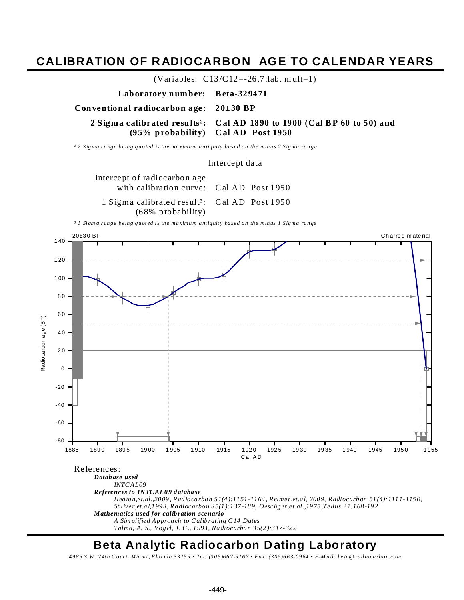### **CALIBRATION OF R ADIOCARBON AGE TO CALENDAR YEARS**



### **Beta Analytic Radiocarbon D ating Laboratory**

*49 8 5 S .W. 7 4t h C our t, Mia mi , F lo r id a 3 3 15 5 • Tel: (3 0 5)66 7 -5 16 7 • F ax: (3 05)6 6 3-09 64 • E -M a il: be ta@ ra dioca rb on.co m*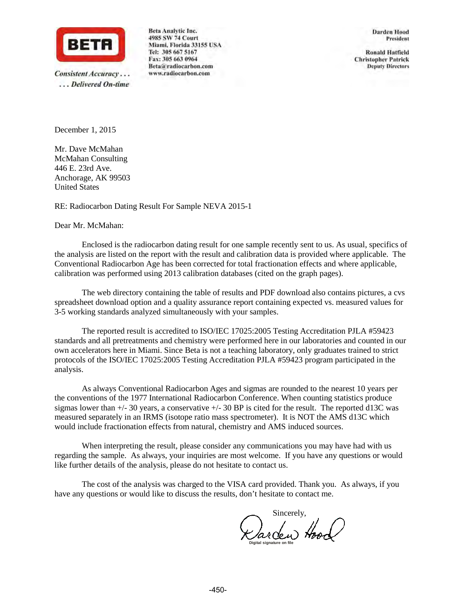

Consistent Accuracy... ...Delivered On-time Beta Analytic Inc. 4985 SW 74 Court Miami, Florida 33155 USA Tel: 305 667 5167 Fax: 305 663 0964 Beta@radiocarbon.com www.radiocarbon.com

**Darden Hood** President

**Ronald Hatfield Christopher Patrick Deputy Directors** 

December 1, 2015

Mr. Dave McMahan McMahan Consulting 446 E. 23rd Ave. Anchorage, AK 99503 United States

RE: Radiocarbon Dating Result For Sample NEVA 2015-1

#### Dear Mr. McMahan:

Enclosed is the radiocarbon dating result for one sample recently sent to us. As usual, specifics of the analysis are listed on the report with the result and calibration data is provided where applicable. The Conventional Radiocarbon Age has been corrected for total fractionation effects and where applicable, calibration was performed using 2013 calibration databases (cited on the graph pages).

The web directory containing the table of results and PDF download also contains pictures, a cvs spreadsheet download option and a quality assurance report containing expected vs. measured values for 3-5 working standards analyzed simultaneously with your samples.

The reported result is accredited to ISO/IEC 17025:2005 Testing Accreditation PJLA #59423 standards and all pretreatments and chemistry were performed here in our laboratories and counted in our own accelerators here in Miami. Since Beta is not a teaching laboratory, only graduates trained to strict protocols of the ISO/IEC 17025:2005 Testing Accreditation PJLA #59423 program participated in the analysis.

As always Conventional Radiocarbon Ages and sigmas are rounded to the nearest 10 years per the conventions of the 1977 International Radiocarbon Conference. When counting statistics produce sigmas lower than  $+/- 30$  years, a conservative  $+/- 30$  BP is cited for the result. The reported d13C was measured separately in an IRMS (isotope ratio mass spectrometer). It is NOT the AMS d13C which would include fractionation effects from natural, chemistry and AMS induced sources.

When interpreting the result, please consider any communications you may have had with us regarding the sample. As always, your inquiries are most welcome. If you have any questions or would like further details of the analysis, please do not hesitate to contact us.

The cost of the analysis was charged to the VISA card provided. Thank you. As always, if you have any questions or would like to discuss the results, don't hesitate to contact me.

**Digital signature on file** Sincerely,<br>Sarden Hood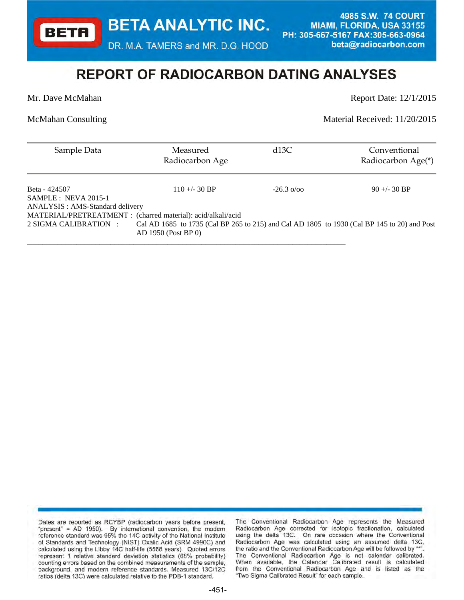**BETA ANALYTIC INC.** 

DR. M.A. TAMERS and MR. D.G. HOOD

\_\_\_\_\_\_\_\_\_\_\_\_\_\_\_\_\_\_\_\_\_\_\_\_\_\_\_\_\_\_\_\_\_\_\_\_\_\_\_\_\_\_\_\_\_\_\_\_\_\_\_\_\_\_\_\_\_\_\_\_\_\_\_\_\_\_\_\_\_\_\_\_\_\_\_\_\_\_\_\_\_\_\_\_

4985 S.W. 74 COURT **MIAMI, FLORIDA, USA 33155** PH: 305-667-5167 FAX:305-663-0964 beta@radiocarbon.com

# **REPORT OF RADIOCARBON DATING ANALYSES**

**BETA** 

Mr. Dave McMahan Report Date: 12/1/2015

McMahan Consulting Material Received: 11/20/2015

| Sample Data                            | Measured<br>Radiocarbon Age                                                                                        | d13C                    | Conventional<br>Radiocarbon Age(*) |
|----------------------------------------|--------------------------------------------------------------------------------------------------------------------|-------------------------|------------------------------------|
| Beta - 424507<br>$SAMPLE: NEVA 2015-1$ | $110 + (-30)$ BP                                                                                                   | $-26.3 \frac{\pi}{900}$ | $90 + (-30)$ BP                    |
| ANALYSIS : AMS-Standard delivery       | MATERIAL/PRETREATMENT : (charred material): acid/alkali/acid                                                       |                         |                                    |
| 2 SIGMA CALIBRATION :                  | Cal AD 1685 to 1735 (Cal BP 265 to 215) and Cal AD 1805 to 1930 (Cal BP 145 to 20) and Post<br>AD 1950 (Post BP 0) |                         |                                    |

Dates are reported as RCYBP (radiocarbon years before present, "present" = AD 1950). By international convention, the modern reference standard was 95% the 14C activity of the National Institute of Standards and Technology (NIST) Oxalic Acid (SRM 4990C) and calculated using the Libby 14C half-life (5568 years). Quoted errors represent 1 relative standard deviation statistics (68% probability) counting errors based on the combined measurements of the sample, background, and modern reference standards. Measured 13C/12C ratios (delta 13C) were calculated relative to the PDB-1 standard.

The Conventional Radiocarbon Age represents the Measured Radiocarbon Age corrected for isotopic fractionation, calculated using the delta 13C. On rare occasion where the Conventional Radiocarbon Age was calculated using an assumed delta 13C, the ratio and the Conventional Radiocarbon Age will be followed by "\* The Conventional Radiocarbon Age is not calendar calibrated. When available, the Calendar Calibrated result is calculated from the Conventional Radiocarbon Age and is listed as the "Two Sigma Calibrated Result" for each sample.